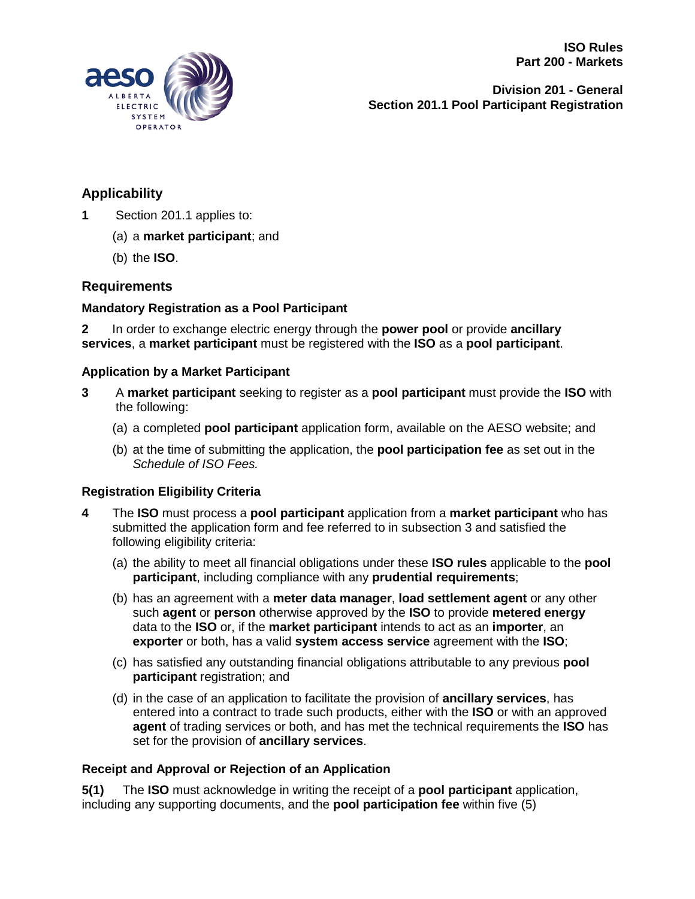

**Division 201 - General Section 201.1 Pool Participant Registration**

# **Applicability**

- **1** Section 201.1 applies to:
	- (a) a **market participant**; and
	- (b) the **ISO**.

## **Requirements**

### **Mandatory Registration as a Pool Participant**

**2** In order to exchange electric energy through the **power pool** or provide **ancillary services**, a **market participant** must be registered with the **ISO** as a **pool participant**.

#### **Application by a Market Participant**

- **3** A **market participant** seeking to register as a **pool participant** must provide the **ISO** with the following:
	- (a) a completed **pool participant** application form, available on the AESO website; and
	- (b) at the time of submitting the application, the **pool participation fee** as set out in the *Schedule of ISO Fees.*

### **Registration Eligibility Criteria**

- **4** The **ISO** must process a **pool participant** application from a **market participant** who has submitted the application form and fee referred to in subsection 3 and satisfied the following eligibility criteria:
	- (a) the ability to meet all financial obligations under these **ISO rules** applicable to the **pool participant**, including compliance with any **prudential requirements**;
	- (b) has an agreement with a **meter data manager**, **load settlement agent** or any other such **agent** or **person** otherwise approved by the **ISO** to provide **metered energy** data to the **ISO** or, if the **market participant** intends to act as an **importer**, an **exporter** or both, has a valid **system access service** agreement with the **ISO**;
	- (c) has satisfied any outstanding financial obligations attributable to any previous **pool participant** registration; and
	- (d) in the case of an application to facilitate the provision of **ancillary services**, has entered into a contract to trade such products, either with the **ISO** or with an approved **agent** of trading services or both, and has met the technical requirements the **ISO** has set for the provision of **ancillary services**.

#### **Receipt and Approval or Rejection of an Application**

**5(1)** The **ISO** must acknowledge in writing the receipt of a **pool participant** application, including any supporting documents, and the **pool participation fee** within five (5)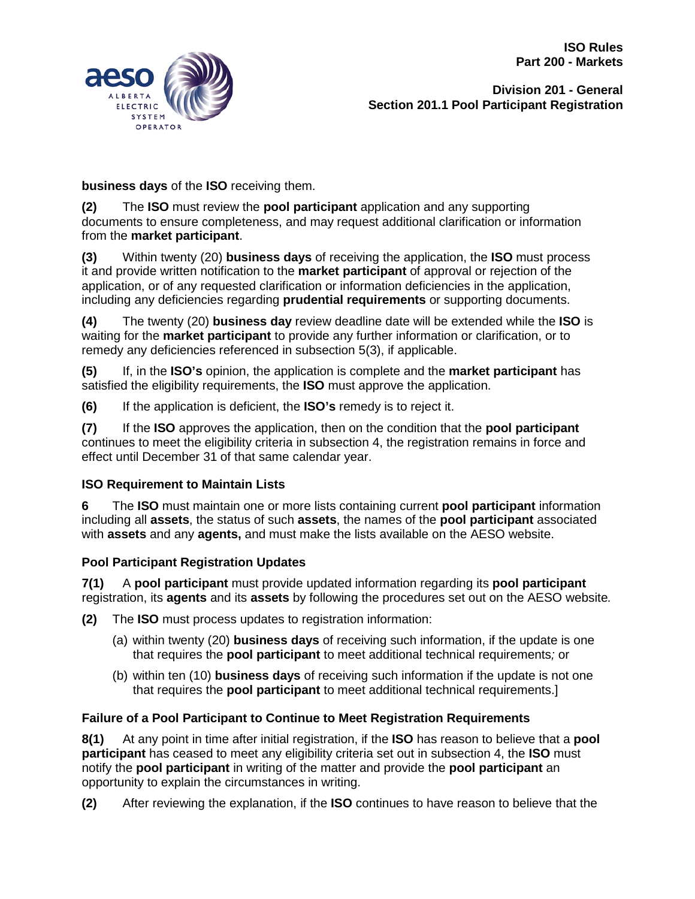**ISO Rules Part 200 - Markets**



**Division 201 - General Section 201.1 Pool Participant Registration**

**business days** of the **ISO** receiving them.

**(2)** The **ISO** must review the **pool participant** application and any supporting documents to ensure completeness, and may request additional clarification or information from the **market participant**.

**(3)** Within twenty (20) **business days** of receiving the application, the **ISO** must process it and provide written notification to the **market participant** of approval or rejection of the application, or of any requested clarification or information deficiencies in the application, including any deficiencies regarding **prudential requirements** or supporting documents.

**(4)** The twenty (20) **business day** review deadline date will be extended while the **ISO** is waiting for the **market participant** to provide any further information or clarification, or to remedy any deficiencies referenced in subsection 5(3), if applicable.

**(5)** If, in the **ISO's** opinion, the application is complete and the **market participant** has satisfied the eligibility requirements, the **ISO** must approve the application.

**(6)** If the application is deficient, the **ISO's** remedy is to reject it.

**(7)** If the **ISO** approves the application, then on the condition that the **pool participant** continues to meet the eligibility criteria in subsection 4, the registration remains in force and effect until December 31 of that same calendar year.

### **ISO Requirement to Maintain Lists**

**6** The **ISO** must maintain one or more lists containing current **pool participant** information including all **assets**, the status of such **assets**, the names of the **pool participant** associated with **assets** and any **agents,** and must make the lists available on the AESO website.

### **Pool Participant Registration Updates**

**7(1)** A **pool participant** must provide updated information regarding its **pool participant** registration, its **agents** and its **assets** by following the procedures set out on the AESO website*.*

- **(2)** The **ISO** must process updates to registration information:
	- (a) within twenty (20) **business days** of receiving such information, if the update is one that requires the **pool participant** to meet additional technical requirements*;* or
	- (b) within ten (10) **business days** of receiving such information if the update is not one that requires the **pool participant** to meet additional technical requirements.]

### **Failure of a Pool Participant to Continue to Meet Registration Requirements**

**8(1)** At any point in time after initial registration, if the **ISO** has reason to believe that a **pool participant** has ceased to meet any eligibility criteria set out in subsection 4, the **ISO** must notify the **pool participant** in writing of the matter and provide the **pool participant** an opportunity to explain the circumstances in writing.

**(2)** After reviewing the explanation, if the **ISO** continues to have reason to believe that the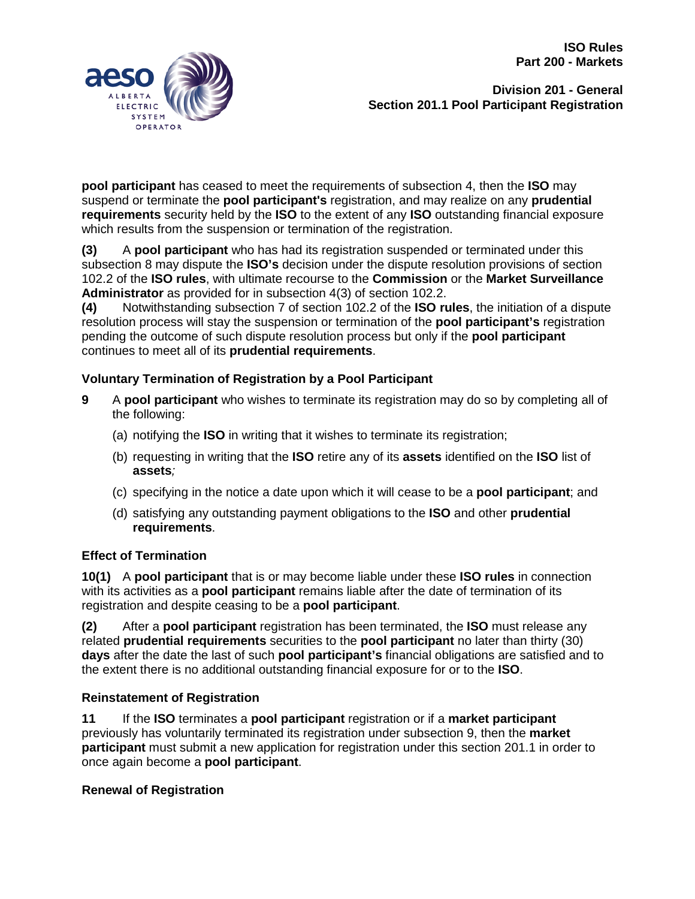**ISO Rules Part 200 - Markets**



**Division 201 - General Section 201.1 Pool Participant Registration**

**pool participant** has ceased to meet the requirements of subsection 4, then the **ISO** may suspend or terminate the **pool participant's** registration, and may realize on any **prudential requirements** security held by the **ISO** to the extent of any **ISO** outstanding financial exposure which results from the suspension or termination of the registration.

**(3)** A **pool participant** who has had its registration suspended or terminated under this subsection 8 may dispute the **ISO's** decision under the dispute resolution provisions of section 102.2 of the **ISO rules**, with ultimate recourse to the **Commission** or the **Market Surveillance Administrator** as provided for in subsection 4(3) of section 102.2.

**(4)** Notwithstanding subsection 7 of section 102.2 of the **ISO rules**, the initiation of a dispute resolution process will stay the suspension or termination of the **pool participant's** registration pending the outcome of such dispute resolution process but only if the **pool participant** continues to meet all of its **prudential requirements**.

# **Voluntary Termination of Registration by a Pool Participant**

- **9** A **pool participant** who wishes to terminate its registration may do so by completing all of the following:
	- (a) notifying the **ISO** in writing that it wishes to terminate its registration;
	- (b) requesting in writing that the **ISO** retire any of its **assets** identified on the **ISO** list of **assets***;*
	- (c) specifying in the notice a date upon which it will cease to be a **pool participant**; and
	- (d) satisfying any outstanding payment obligations to the **ISO** and other **prudential requirements**.

## **Effect of Termination**

**10(1)** A **pool participant** that is or may become liable under these **ISO rules** in connection with its activities as a **pool participant** remains liable after the date of termination of its registration and despite ceasing to be a **pool participant**.

**(2)** After a **pool participant** registration has been terminated, the **ISO** must release any related **prudential requirements** securities to the **pool participant** no later than thirty (30) **days** after the date the last of such **pool participant's** financial obligations are satisfied and to the extent there is no additional outstanding financial exposure for or to the **ISO**.

# **Reinstatement of Registration**

**11** If the **ISO** terminates a **pool participant** registration or if a **market participant** previously has voluntarily terminated its registration under subsection 9, then the **market participant** must submit a new application for registration under this section 201.1 in order to once again become a **pool participant**.

## **Renewal of Registration**